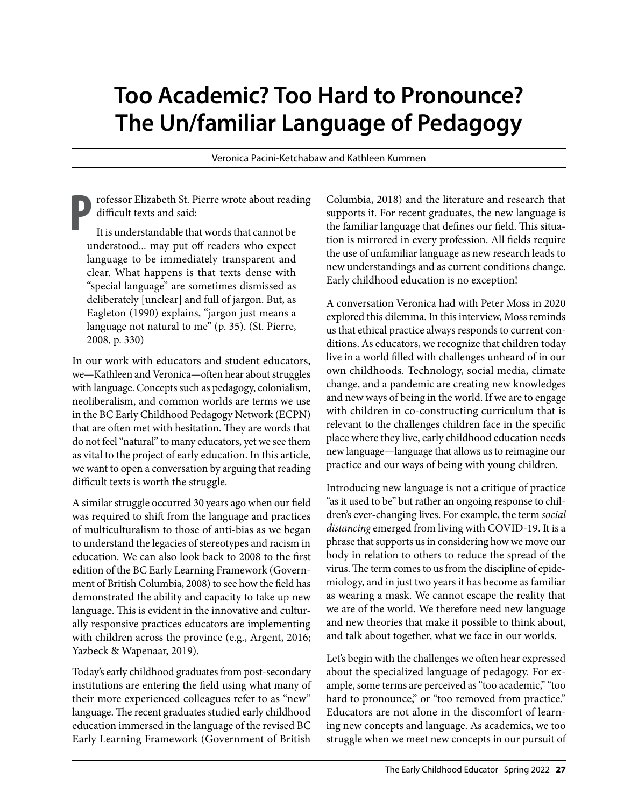## **Too Academic? Too Hard to Pronounce? The Un/familiar Language of Pedagogy**

Veronica Pacini-Ketchabaw and Kathleen Kummen

**P**rofessor Elizabeth St. Pierre wrote about reading difficult texts and said:

It is understandable that words that cannot be understood... may put off readers who expect language to be immediately transparent and clear. What happens is that texts dense with "special language" are sometimes dismissed as deliberately [unclear] and full of jargon. But, as Eagleton (1990) explains, "jargon just means a language not natural to me" (p. 35). (St. Pierre, 2008, p. 330)

In our work with educators and student educators, we—Kathleen and Veronica—often hear about struggles with language. Concepts such as pedagogy, colonialism, neoliberalism, and common worlds are terms we use in the [BC Early Childhood Pedagogy Network \(ECPN\)](https://www.ecpn.ca/)  that are often met with hesitation. They are words that do not feel "natural" to many educators, yet we see them as vital to the project of early education. In this article, we want to open a conversation by arguing that reading difficult texts is worth the struggle.

A similar struggle occurred 30 years ago when our field was required to shift from the language and practices of multiculturalism to those of anti-bias as we began to understand the legacies of stereotypes and racism in education. We can also look back to 2008 to the first edition of the [BC Early Learning Framework](https://www2.gov.bc.ca/gov/content/education-training/early-learning/teach/early-learning-framework) (Government of British Columbia, 2008) to see how the field has demonstrated the ability and capacity to take up new language. This is evident in the innovative and culturally responsive practices educators are implementing with children across the province (e.g., [Argent, 2016;](https://journals.uvic.ca/index.php/jcs/article/view/16719) [Yazbeck & Wapenaar, 2019\)](https://www.bloomsburycollections.com/book/theorizing-feminist-ethics-of-care-in-early-childhood-practice-possibilities-and-dangers/ch10-enacting-twenty-first-century-early-childhood-education-curriculum-as-caring).

Today's early childhood graduates from post-secondary institutions are entering the field using what many of their more experienced colleagues refer to as "new" language. The recent graduates studied early childhood education immersed in the language of the revised BC Early Learning Framework (Government of British

Columbia, 2018) and the literature and research that supports it. For recent graduates, the new language is the familiar language that defines our field. This situation is mirrored in every profession. All fields require the use of unfamiliar language as new research leads to new understandings and as current conditions change. Early childhood education is no exception!

A conversation Veronica had with [Peter Moss in 2020](https://journals.uvic.ca/index.php/jcs/article/view/19742)  explored this dilemma. In this interview, Moss reminds us that ethical practice always responds to current conditions. As educators, we recognize that children today live in a world filled with challenges unheard of in our own childhoods. Technology, social media, climate change, and a pandemic are creating new knowledges and new ways of being in the world. If we are to engage with children in co-constructing curriculum that is relevant to the challenges children face in the specific place where they live, early childhood education needs new language—language that allows us to reimagine our practice and our ways of being with young children.

Introducing new language is not a critique of practice "as it used to be" but rather an ongoing response to children's ever-changing lives. For example, the term *social distancing* emerged from living with COVID-19. It is a phrase that supports us in considering how we move our body in relation to others to reduce the spread of the virus. The term comes to us from the discipline of epidemiology, and in just two years it has become as familiar as wearing a mask. We cannot escape the reality that we are of the world. We therefore need new language and new theories that make it possible to think about, and talk about together, what we face in our worlds.

Let's begin with the challenges we often hear expressed about the specialized language of pedagogy. For example, some terms are perceived as "too academic," "too hard to pronounce," or "too removed from practice." Educators are not alone in the discomfort of learning new concepts and language. As academics, we too struggle when we meet new concepts in our pursuit of